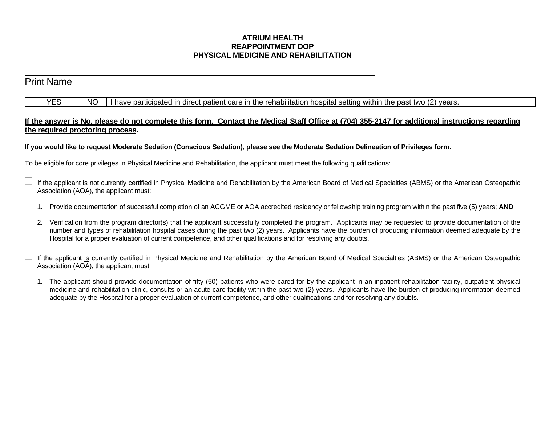## **ATRIUM HEALTH REAPPOINTMENT DOP PHYSICAL MEDICINE AND REHABILITATION**

l

# Print Name  $YES \mid \text{NO} \mid$  I have participated in direct patient care in the rehabilitation hospital setting within the past two (2) years. **If the answer is No, please do not complete this form. Contact the Medical Staff Office at (704) 355-2147 for additional instructions regarding the required proctoring process. If you would like to request Moderate Sedation (Conscious Sedation), please see the Moderate Sedation Delineation of Privileges form.** To be eligible for core privileges in Physical Medicine and Rehabilitation, the applicant must meet the following qualifications: If the applicant is not currently certified in Physical Medicine and Rehabilitation by the American Board of Medical Specialties (ABMS) or the American Osteopathic Association (AOA), the applicant must: 1. Provide documentation of successful completion of an ACGME or AOA accredited residency or fellowship training program within the past five (5) years; **AND**

- 2. Verification from the program director(s) that the applicant successfully completed the program. Applicants may be requested to provide documentation of the number and types of rehabilitation hospital cases during the past two (2) years. Applicants have the burden of producing information deemed adequate by the Hospital for a proper evaluation of current competence, and other qualifications and for resolving any doubts.
- If the applicant is currently certified in Physical Medicine and Rehabilitation by the American Board of Medical Specialties (ABMS) or the American Osteopathic Association (AOA), the applicant must
	- 1. The applicant should provide documentation of fifty (50) patients who were cared for by the applicant in an inpatient rehabilitation facility, outpatient physical medicine and rehabilitation clinic, consults or an acute care facility within the past two (2) years. Applicants have the burden of producing information deemed adequate by the Hospital for a proper evaluation of current competence, and other qualifications and for resolving any doubts.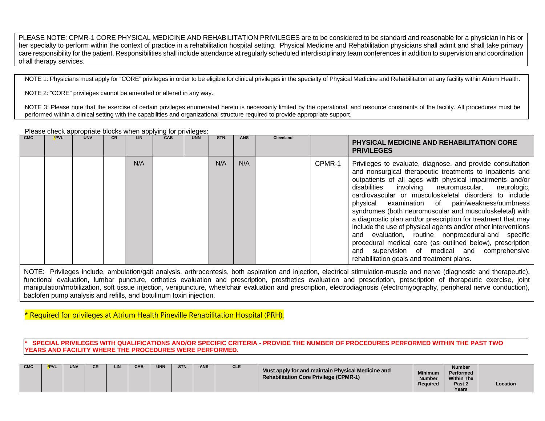PLEASE NOTE: CPMR-1 CORE PHYSICAL MEDICINE AND REHABILITATION PRIVILEGES are to be considered to be standard and reasonable for a physician in his or her specialty to perform within the context of practice in a rehabilitation hospital setting. Physical Medicine and Rehabilitation physicians shall admit and shall take primary care responsibility for the patient. Responsibilities shall include attendance at regularly scheduled interdisciplinary team conferences in addition to supervision and coordination of all therapy services.

NOTE 1: Physicians must apply for "CORE" privileges in order to be eligible for clinical privileges in the specialty of Physical Medicine and Rehabilitation at any facility within Atrium Health.

NOTE 2: "CORE" privileges cannot be amended or altered in any way.

NOTE 3: Please note that the exercise of certain privileges enumerated herein is necessarily limited by the operational, and resource constraints of the facility. All procedures must be performed within a clinical setting with the capabilities and organizational structure required to provide appropriate support.

| CMC | *PVL | <b>UNV</b> | СR | <b>LIN</b> | CAB | <b>UNN</b> | <b>STN</b> | <b>ANS</b> | <b>Cleveland</b> |        | <b>PHYSICAL MEDICINE AND REHABILITATION CORE</b><br><b>PRIVILEGES</b>                                                                                                                                                                                                                                                                                                                                                                                                                                                                                                                                                                                                                                                                                              |
|-----|------|------------|----|------------|-----|------------|------------|------------|------------------|--------|--------------------------------------------------------------------------------------------------------------------------------------------------------------------------------------------------------------------------------------------------------------------------------------------------------------------------------------------------------------------------------------------------------------------------------------------------------------------------------------------------------------------------------------------------------------------------------------------------------------------------------------------------------------------------------------------------------------------------------------------------------------------|
|     |      |            |    | N/A        |     |            | N/A        | N/A        |                  | CPMR-1 | Privileges to evaluate, diagnose, and provide consultation<br>and nonsurgical therapeutic treatments to inpatients and<br>outpatients of all ages with physical impairments and/or<br>disabilities involving neuromuscular, neurologic,<br>cardiovascular or musculoskeletal disorders to include<br>physical<br>examination of pain/weakness/numbness<br>syndromes (both neuromuscular and musculoskeletal) with<br>a diagnostic plan and/or prescription for treatment that may<br>include the use of physical agents and/or other interventions<br>and evaluation, routine nonprocedural and specific<br>procedural medical care (as outlined below), prescription<br>and supervision of medical and comprehensive<br>rehabilitation goals and treatment plans. |

Please check appropriate blocks when applying for privileges:

NOTE: Privileges include, ambulation/gait analysis, arthrocentesis, both aspiration and injection, electrical stimulation-muscle and nerve (diagnostic and therapeutic), functional evaluation, lumbar puncture, orthotics evaluation and prescription, prosthetics evaluation and prescription, prescription of therapeutic exercise, joint manipulation/mobilization, soft tissue injection, venipuncture, wheelchair evaluation and prescription, electrodiagnosis (electromyography, peripheral nerve conduction), baclofen pump analysis and refills, and botulinum toxin injection.

\* Required for privileges at Atrium Health Pineville Rehabilitation Hospital (PRH).

**\* SPECIAL PRIVILEGES WITH QUALIFICATIONS AND/OR SPECIFIC CRITERIA - PROVIDE THE NUMBER OF PROCEDURES PERFORMED WITHIN THE PAST TWO YEARS AND FACILITY WHERE THE PROCEDURES WERE PERFORMED.**

| <b>CMC</b> | *PVL | <b>UNV</b> |  | LIN | CAB | <b>UNN</b> | <b>STN</b> | <b>ANS</b> | <b>CLE</b> | Must apply for and maintain Physical Medicine and<br><b>Rehabilitation Core Privilege (CPMR-1)</b> | <b>Minimum</b><br><b>Number</b><br>Required | <b>Number</b><br>Performed<br><b>Within The</b><br>Past 2<br>Years | Location |
|------------|------|------------|--|-----|-----|------------|------------|------------|------------|----------------------------------------------------------------------------------------------------|---------------------------------------------|--------------------------------------------------------------------|----------|
|------------|------|------------|--|-----|-----|------------|------------|------------|------------|----------------------------------------------------------------------------------------------------|---------------------------------------------|--------------------------------------------------------------------|----------|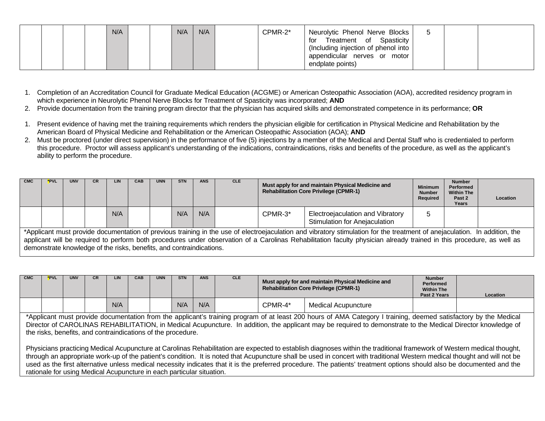1. Completion of an Accreditation Council for Graduate Medical Education (ACGME) or American Osteopathic Association (AOA), accredited residency program in which experience in Neurolytic Phenol Nerve Blocks for Treatment of Spasticity was incorporated; **AND**

- 2. Provide documentation from the training program director that the physician has acquired skills and demonstrated competence in its performance; **OR**
- 1. Present evidence of having met the training requirements which renders the physician eligible for certification in Physical Medicine and Rehabilitation by the American Board of Physical Medicine and Rehabilitation or the American Osteopathic Association (AOA); **AND**
- 2. Must be proctored (under direct supervision) in the performance of five (5) injections by a member of the Medical and Dental Staff who is credentialed to perform this procedure. Proctor will assess applicant's understanding of the indications, contraindications, risks and benefits of the procedure, as well as the applicant's ability to perform the procedure.

| <b>CMC</b> | *PVL | UNV | СR | LIN | CAB                                                                  | <b>UNN</b> | STN | <b>ANS</b> | <b>CLE</b> | Must apply for and maintain Physical Medicine and<br><b>Rehabilitation Core Privilege (CPMR-1)</b> |                                                                                                                                                                                                                                                                                                                                                     | <b>Minimum</b><br><b>Number</b><br>Required | <b>Number</b><br>Performed<br><b>Within The</b><br>Past 2<br>Years | Location |
|------------|------|-----|----|-----|----------------------------------------------------------------------|------------|-----|------------|------------|----------------------------------------------------------------------------------------------------|-----------------------------------------------------------------------------------------------------------------------------------------------------------------------------------------------------------------------------------------------------------------------------------------------------------------------------------------------------|---------------------------------------------|--------------------------------------------------------------------|----------|
|            |      |     |    | N/A |                                                                      |            | N/A | N/A        |            | CPMR-3*                                                                                            | Electroejaculation and Vibratory<br>Stimulation for Anejaculation                                                                                                                                                                                                                                                                                   |                                             |                                                                    |          |
|            |      |     |    |     | demonstrate knowledge of the risks, benefits, and contraindications. |            |     |            |            |                                                                                                    | *Applicant must provide documentation of previous training in the use of electroejaculation and vibratory stimulation for the treatment of anejaculation. In addition, the<br>applicant will be required to perform both procedures under observation of a Carolinas Rehabilitation faculty physician already trained in this procedure, as well as |                                             |                                                                    |          |

| <b>CMC</b> | *PVL | <b>UNV</b> | LIN | CAB | <b>UNN</b> | <b>STN</b> | <b>ANS</b> | <b>CLE</b> |         | Must apply for and maintain Physical Medicine and<br><b>Rehabilitation Core Privilege (CPMR-1)</b> | <b>Number</b><br><b>Performed</b><br><b>Within The</b><br>Past 2 Years | <b>Location</b> |
|------------|------|------------|-----|-----|------------|------------|------------|------------|---------|----------------------------------------------------------------------------------------------------|------------------------------------------------------------------------|-----------------|
|            |      |            | N/A |     |            | N/A        | N/A        |            | CPMR-4* | Medical Acupuncture                                                                                |                                                                        |                 |

\*Applicant must provide documentation from the applicant's training program of at least 200 hours of AMA Category I training, deemed satisfactory by the Medical Director of CAROLINAS REHABILITATION, in Medical Acupuncture. In addition, the applicant may be required to demonstrate to the Medical Director knowledge of the risks, benefits, and contraindications of the procedure.

Physicians practicing Medical Acupuncture at Carolinas Rehabilitation are expected to establish diagnoses within the traditional framework of Western medical thought, through an appropriate work-up of the patient's condition. It is noted that Acupuncture shall be used in concert with traditional Western medical thought and will not be used as the first alternative unless medical necessity indicates that it is the preferred procedure. The patients' treatment options should also be documented and the rationale for using Medical Acupuncture in each particular situation.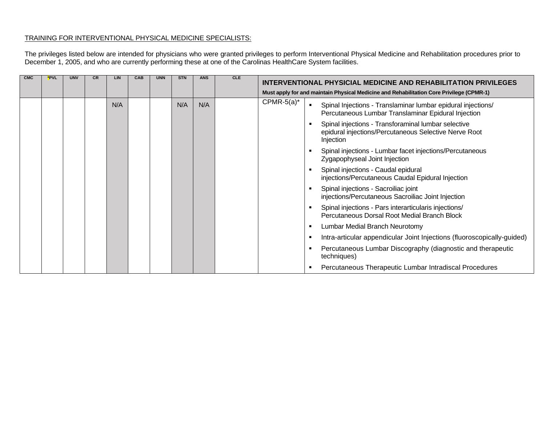# TRAINING FOR INTERVENTIONAL PHYSICAL MEDICINE SPECIALISTS:

The privileges listed below are intended for physicians who were granted privileges to perform Interventional Physical Medicine and Rehabilitation procedures prior to December 1, 2005, and who are currently performing these at one of the Carolinas HealthCare System facilities.

| <b>CMC</b> | *PVL | <b>UNV</b> | CR. | LIN | CAB | <b>UNN</b> | <b>STN</b> | <b>ANS</b> | <b>CLE</b> | INTERVENTIONAL PHYSICIAL MEDICINE AND REHABILITATION PRIVILEGES                                                                                        |  |
|------------|------|------------|-----|-----|-----|------------|------------|------------|------------|--------------------------------------------------------------------------------------------------------------------------------------------------------|--|
|            |      |            |     |     |     |            |            |            |            | Must apply for and maintain Physical Medicine and Rehabilitation Core Privilege (CPMR-1)                                                               |  |
|            |      |            |     | N/A |     |            | N/A        | N/A        |            | $CPMR-5(a)^*$<br>Spinal Injections - Translaminar lumbar epidural injections/<br>$\blacksquare$<br>Percutaneous Lumbar Translaminar Epidural Injection |  |
|            |      |            |     |     |     |            |            |            |            | Spinal injections - Transforaminal lumbar selective<br>epidural injections/Percutaneous Selective Nerve Root<br>Injection                              |  |
|            |      |            |     |     |     |            |            |            |            | Spinal injections - Lumbar facet injections/Percutaneous<br>Zygapophyseal Joint Injection                                                              |  |
|            |      |            |     |     |     |            |            |            |            | Spinal injections - Caudal epidural<br>injections/Percutaneous Caudal Epidural Injection                                                               |  |
|            |      |            |     |     |     |            |            |            |            | Spinal injections - Sacroiliac joint<br>injections/Percutaneous Sacroiliac Joint Injection                                                             |  |
|            |      |            |     |     |     |            |            |            |            | Spinal injections - Pars interarticularis injections/<br>Percutaneous Dorsal Root Medial Branch Block                                                  |  |
|            |      |            |     |     |     |            |            |            |            | Lumbar Medial Branch Neurotomy<br>٠                                                                                                                    |  |
|            |      |            |     |     |     |            |            |            |            | Intra-articular appendicular Joint Injections (fluoroscopically-guided)                                                                                |  |
|            |      |            |     |     |     |            |            |            |            | Percutaneous Lumbar Discography (diagnostic and therapeutic<br>techniques)                                                                             |  |
|            |      |            |     |     |     |            |            |            |            | Percutaneous Therapeutic Lumbar Intradiscal Procedures                                                                                                 |  |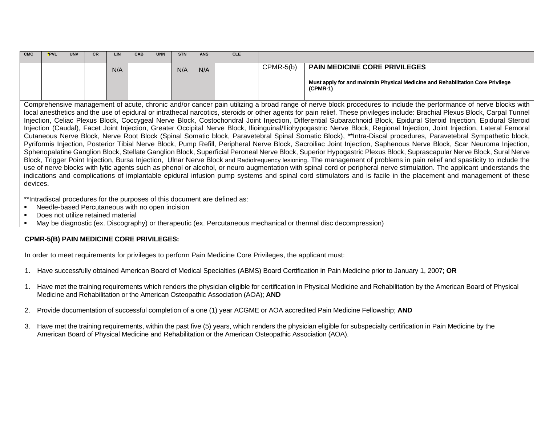| <b>CMC</b> | *PVL | <b>UNV</b> | <b>CR</b> | LIN | <b>CAB</b> | <b>UNN</b> | <b>STN</b> | <b>ANS</b> | <b>CLE</b> |             |                                                                                               |
|------------|------|------------|-----------|-----|------------|------------|------------|------------|------------|-------------|-----------------------------------------------------------------------------------------------|
|            |      |            |           | N/A |            |            | N/A        | N/A        |            | $CPMR-5(b)$ | <b>PAIN MEDICINE CORE PRIVILEGES</b>                                                          |
|            |      |            |           |     |            |            |            |            |            |             | Must apply for and maintain Physical Medicine and Rehabilitation Core Privilege<br>$(CPMR-1)$ |

Comprehensive management of acute, chronic and/or cancer pain utilizing a broad range of nerve block procedures to include the performance of nerve blocks with local anesthetics and the use of epidural or intrathecal narcotics, steroids or other agents for pain relief. These privileges include: Brachial Plexus Block, Carpal Tunnel Injection, Celiac Plexus Block, Coccygeal Nerve Block, Costochondral Joint Injection, Differential Subarachnoid Block, Epidural Steroid Injection, Epidural Steroid Injection (Caudal), Facet Joint Injection, Greater Occipital Nerve Block, Ilioinguinal/Iliohypogastric Nerve Block, Regional Injection, Joint Injection, Lateral Femoral Cutaneous Nerve Block, Nerve Root Block (Spinal Somatic block, Paravetebral Spinal Somatic Block), \*\*Intra-Discal procedures, Paravetebral Sympathetic block, Pyriformis Injection, Posterior Tibial Nerve Block, Pump Refill, Peripheral Nerve Block, Sacroiliac Joint Injection, Saphenous Nerve Block, Scar Neuroma Injection, Sphenopalatine Ganglion Block, Stellate Ganglion Block, Superficial Peroneal Nerve Block, Superior Hypogastric Plexus Block, Suprascapular Nerve Block, Sural Nerve Block, Trigger Point Injection, Bursa Injection, Ulnar Nerve Block and Radiofrequency lesioning. The management of problems in pain relief and spasticity to include the use of nerve blocks with lytic agents such as phenol or alcohol, or neuro augmentation with spinal cord or peripheral nerve stimulation. The applicant understands the indications and complications of implantable epidural infusion pump systems and spinal cord stimulators and is facile in the placement and management of these devices.

\*\*Intradiscal procedures for the purposes of this document are defined as:

- **Needle-based Percutaneous with no open incision**
- Does not utilize retained material

May be diagnostic (ex. Discography) or therapeutic (ex. Percutaneous mechanical or thermal disc decompression)

## **CPMR-5(B) PAIN MEDICINE CORE PRIVILEGES:**

In order to meet requirements for privileges to perform Pain Medicine Core Privileges, the applicant must:

- 1. Have successfully obtained American Board of Medical Specialties (ABMS) Board Certification in Pain Medicine prior to January 1, 2007; **OR**
- 1. Have met the training requirements which renders the physician eligible for certification in Physical Medicine and Rehabilitation by the American Board of Physical Medicine and Rehabilitation or the American Osteopathic Association (AOA); **AND**
- 2. Provide documentation of successful completion of a one (1) year ACGME or AOA accredited Pain Medicine Fellowship; **AND**
- 3. Have met the training requirements, within the past five (5) years, which renders the physician eligible for subspecialty certification in Pain Medicine by the American Board of Physical Medicine and Rehabilitation or the American Osteopathic Association (AOA).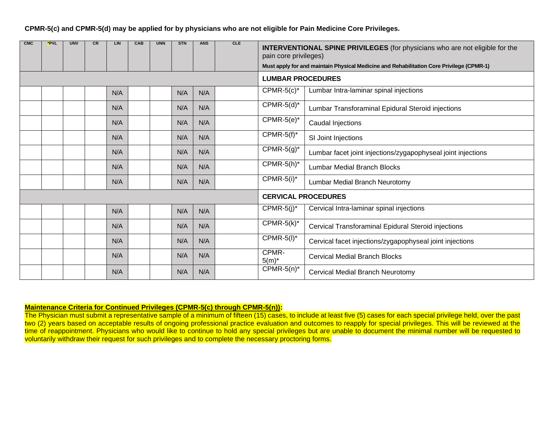**CPMR-5(c) and CPMR-5(d) may be applied for by physicians who are not eligible for Pain Medicine Core Privileges.**

| <b>CMC</b> | *PVL | <b>UNV</b> | <b>CR</b> | <b>LIN</b> | CAB | <b>UNN</b> | <b>STN</b> | <b>ANS</b> | <b>CLE</b> | <b>INTERVENTIONAL SPINE PRIVILEGES</b> (for physicians who are not eligible for the<br>pain core privileges)<br>Must apply for and maintain Physical Medicine and Rehabilitation Core Privilege (CPMR-1) |                                                              |  |  |
|------------|------|------------|-----------|------------|-----|------------|------------|------------|------------|----------------------------------------------------------------------------------------------------------------------------------------------------------------------------------------------------------|--------------------------------------------------------------|--|--|
|            |      |            |           |            |     |            |            |            |            | <b>LUMBAR PROCEDURES</b>                                                                                                                                                                                 |                                                              |  |  |
|            |      |            |           | N/A        |     |            | N/A        | N/A        |            | $CPMR-5(c)^*$                                                                                                                                                                                            | Lumbar Intra-laminar spinal injections                       |  |  |
|            |      |            |           | N/A        |     |            | N/A        | N/A        |            | $\overline{CPMR-5(d)^*}$                                                                                                                                                                                 | Lumbar Transforaminal Epidural Steroid injections            |  |  |
|            |      |            |           | N/A        |     |            | N/A        | N/A        |            | $CPMR-5(e)^*$                                                                                                                                                                                            | Caudal Injections                                            |  |  |
|            |      |            |           | N/A        |     |            | N/A        | N/A        |            | $\overline{CPMR-5(f)^*}$                                                                                                                                                                                 | SI Joint Injections                                          |  |  |
|            |      |            |           | N/A        |     |            | N/A        | N/A        |            | $\overline{CPMR-5(g)^*}$                                                                                                                                                                                 | Lumbar facet joint injections/zygapophyseal joint injections |  |  |
|            |      |            |           | N/A        |     |            | N/A        | N/A        |            | $CPMR-5(h)^*$                                                                                                                                                                                            | <b>Lumbar Medial Branch Blocks</b>                           |  |  |
|            |      |            |           | N/A        |     |            | N/A        | N/A        |            | $CPMR-5(i)*$                                                                                                                                                                                             | Lumbar Medial Branch Neurotomy                               |  |  |
|            |      |            |           |            |     |            |            |            |            | <b>CERVICAL PROCEDURES</b>                                                                                                                                                                               |                                                              |  |  |
|            |      |            |           | N/A        |     |            | N/A        | N/A        |            | $CPMR-5(j)^*$                                                                                                                                                                                            | Cervical Intra-laminar spinal injections                     |  |  |
|            |      |            |           | N/A        |     |            | N/A        | N/A        |            | $CPMR-5(k)^*$                                                                                                                                                                                            | Cervical Transforaminal Epidural Steroid injections          |  |  |
|            |      |            |           | N/A        |     |            | N/A        | N/A        |            | $\overline{CPMR-5}$ (I)*                                                                                                                                                                                 | Cervical facet injections/zygapophyseal joint injections     |  |  |
|            |      |            |           | N/A        |     |            | N/A        | N/A        |            | CPMR-<br>$5(m)^*$                                                                                                                                                                                        | <b>Cervical Medial Branch Blocks</b>                         |  |  |
|            |      |            |           | N/A        |     |            | N/A        | N/A        |            | $CPMR-5(n)$ *<br>Cervical Medial Branch Neurotomy                                                                                                                                                        |                                                              |  |  |

## **Maintenance Criteria for Continued Privileges (CPMR-5(c) through CPMR-5(n)):**

The Physician must submit a representative sample of a minimum of fifteen (15) cases, to include at least five (5) cases for each special privilege held, over the past two (2) years based on acceptable results of ongoing professional practice evaluation and outcomes to reapply for special privileges. This will be reviewed at the time of reappointment. Physicians who would like to continue to hold any special privileges but are unable to document the minimal number will be requested to voluntarily withdraw their request for such privileges and to complete the necessary proctoring forms.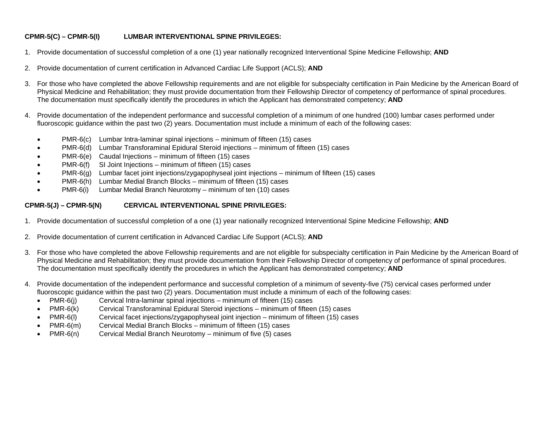# **CPMR-5(C) – CPMR-5(I) LUMBAR INTERVENTIONAL SPINE PRIVILEGES:**

- 1. Provide documentation of successful completion of a one (1) year nationally recognized Interventional Spine Medicine Fellowship; **AND**
- 2. Provide documentation of current certification in Advanced Cardiac Life Support (ACLS); **AND**
- 3. For those who have completed the above Fellowship requirements and are not eligible for subspecialty certification in Pain Medicine by the American Board of Physical Medicine and Rehabilitation; they must provide documentation from their Fellowship Director of competency of performance of spinal procedures. The documentation must specifically identify the procedures in which the Applicant has demonstrated competency; **AND**
- 4. Provide documentation of the independent performance and successful completion of a minimum of one hundred (100) lumbar cases performed under fluoroscopic guidance within the past two (2) years. Documentation must include a minimum of each of the following cases:
	- PMR-6(c) Lumbar Intra-laminar spinal injections minimum of fifteen (15) cases
	- PMR-6(d) Lumbar Transforaminal Epidural Steroid injections minimum of fifteen (15) cases
	- PMR-6(e) Caudal Injections minimum of fifteen (15) cases
	- PMR-6(f) SI Joint Injections minimum of fifteen (15) cases
	- PMR-6(g) Lumbar facet joint injections/zygapophyseal joint injections minimum of fifteen (15) cases
	- PMR-6(h) Lumbar Medial Branch Blocks minimum of fifteen (15) cases
	- PMR-6(i) Lumbar Medial Branch Neurotomy minimum of ten (10) cases

# **CPMR-5(J) – CPMR-5(N) CERVICAL INTERVENTIONAL SPINE PRIVILEGES:**

- 1. Provide documentation of successful completion of a one (1) year nationally recognized Interventional Spine Medicine Fellowship; **AND**
- 2. Provide documentation of current certification in Advanced Cardiac Life Support (ACLS); **AND**
- 3. For those who have completed the above Fellowship requirements and are not eligible for subspecialty certification in Pain Medicine by the American Board of Physical Medicine and Rehabilitation; they must provide documentation from their Fellowship Director of competency of performance of spinal procedures. The documentation must specifically identify the procedures in which the Applicant has demonstrated competency; **AND**
- 4. Provide documentation of the independent performance and successful completion of a minimum of seventy-five (75) cervical cases performed under fluoroscopic guidance within the past two (2) years. Documentation must include a minimum of each of the following cases:
	- PMR-6(j) Cervical Intra-laminar spinal injections minimum of fifteen (15) cases
	- PMR-6(k) Cervical Transforaminal Epidural Steroid injections minimum of fifteen (15) cases
	- PMR-6(I) Cervical facet injections/zygapophyseal joint injection minimum of fifteen (15) cases
	- PMR-6(m) Cervical Medial Branch Blocks minimum of fifteen (15) cases<br>PMR-6(n) Cervical Medial Branch Neurotomy minimum of five (5) cases
	- PMR-6(n) Cervical Medial Branch Neurotomy minimum of five (5) cases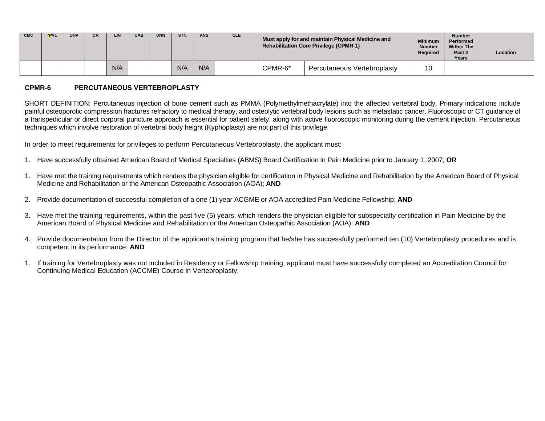| <b>CMC</b> | <b>*PVL</b> | <b>UNV</b> | LIN | <b>CAE</b> | <b>UNN</b> | <b>STN</b> | <b>ANS</b> | <b>CLE</b> |         | Must apply for and maintain Physical Medicine and<br><b>Rehabilitation Core Privilege (CPMR-1)</b> | <b>Minimum</b><br><b>Number</b><br><b>Required</b> | <b>Number</b><br>Performed<br><b>Within The</b><br>Past 2<br>Years | Location |
|------------|-------------|------------|-----|------------|------------|------------|------------|------------|---------|----------------------------------------------------------------------------------------------------|----------------------------------------------------|--------------------------------------------------------------------|----------|
|            |             |            | N/A |            |            | N/A        | N/A        |            | CPMR-6* | Percutaneous Vertebroplasty                                                                        | 10                                                 |                                                                    |          |

#### **CPMR-6 PERCUTANEOUS VERTEBROPLASTY**

SHORT DEFINITION: Percutaneous injection of bone cement such as PMMA (Polymethylmethacrylate) into the affected vertebral body. Primary indications include painful osteoporotic compression fractures refractory to medical therapy, and osteolytic vertebral body lesions such as metastatic cancer. Fluoroscopic or CT guidance of a transpedicular or direct corporal puncture approach is essential for patient safety, along with active fluoroscopic monitoring during the cement injection. Percutaneous techniques which involve restoration of vertebral body height (Kyphoplasty) are not part of this privilege.

In order to meet requirements for privileges to perform Percutaneous Vertebroplasty, the applicant must:

- 1. Have successfully obtained American Board of Medical Specialties (ABMS) Board Certification in Pain Medicine prior to January 1, 2007; **OR**
- 1. Have met the training requirements which renders the physician eligible for certification in Physical Medicine and Rehabilitation by the American Board of Physical Medicine and Rehabilitation or the American Osteopathic Association (AOA); **AND**
- 2. Provide documentation of successful completion of a one (1) year ACGME or AOA accredited Pain Medicine Fellowship; **AND**
- 3. Have met the training requirements, within the past five (5) years, which renders the physician eligible for subspecialty certification in Pain Medicine by the American Board of Physical Medicine and Rehabilitation or the American Osteopathic Association (AOA); **AND**
- 4. Provide documentation from the Director of the applicant's training program that he/she has successfully performed ten (10) Vertebroplasty procedures and is competent in its performance; **AND**
- 1. If training for Vertebroplasty was not included in Residency or Fellowship training, applicant must have successfully completed an Accreditation Council for Continuing Medical Education (ACCME) Course in Vertebroplasty;